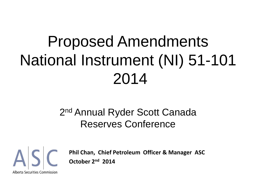# Proposed Amendments National Instrument (NI) 51-101 2014

# 2<sup>nd</sup> Annual Ryder Scott Canada Reserves Conference



**Phil Chan, Chief Petroleum Officer & Manager ASC October 2nd 2014**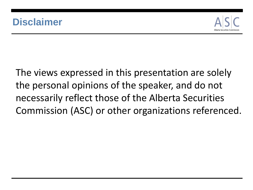

The views expressed in this presentation are solely the personal opinions of the speaker, and do not necessarily reflect those of the Alberta Securities Commission (ASC) or other organizations referenced.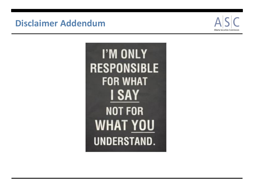#### **Disclaimer Addendum**



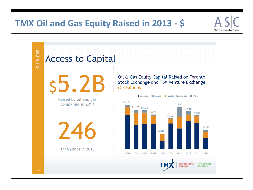#### **TMX Oil and Gas Equity Raised in 2013 - \$**

#### **Access to Capital** Oil & Gas Equity Capital Raised on Toronto Stock Exchange and TSX Venture Exchange (C\$ Billions) Secondary Offerings **Perivate Placements** PIPOs  $$11.7B$ \$11.3B \$10.4B \$10.5B  $$10.1B$  $$9.2B$ \$9.0B  $$8.2B$  $$5.2B$  $$4.1B$ 2004 2005 2006 2007 2009 2010 2011 2012 2013 2008 **Toronto Stock TSX Venture**

Alberta Securities Commissio

OIL & GAS

Raised by oil and gas companies in 2013



Financings in 2013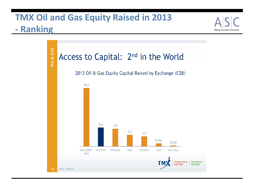#### **TMX Oil and Gas Equity Raised in 2013 - Ranking**



Alberta Securities Commission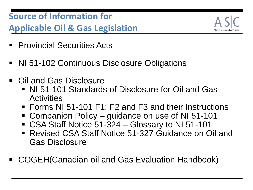# **Source of Information for Applicable Oil & Gas Legislation**



- Provincial Securities Acts
- NI 51-102 Continuous Disclosure Obligations
- Oil and Gas Disclosure
	- NI 51-101 Standards of Disclosure for Oil and Gas **Activities**
	- Forms NI 51-101 F1; F2 and F3 and their Instructions
	- Companion Policy guidance on use of NI 51-101
	- CSA Staff Notice 51-324 Glossary to NI 51-101
	- Revised CSA Staff Notice 51-327 Guidance on Oil and Gas Disclosure
- COGEH(Canadian oil and Gas Evaluation Handbook)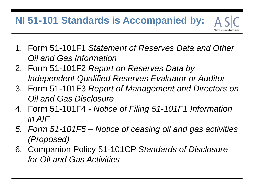# **NI 51-101 Standards is Accompanied by:**

Alberta Securities Comr

- 1. Form 51-101F1 *Statement of Reserves Data and Other Oil and Gas Information*
- 2. Form 51-101F2 *Report on Reserves Data by Independent Qualified Reserves Evaluator or Auditor*
- 3. Form 51-101F3 *Report of Management and Directors on Oil and Gas Disclosure*
- 4. Form 51-101F4 *Notice of Filing 51-101F1 Information in AIF*
- *5. Form 51-101F5 – Notice of ceasing oil and gas activities (Proposed)*
- 6. Companion Policy 51-101CP *Standards of Disclosure for Oil and Gas Activities*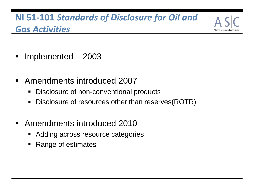#### **NI 51-101** *Standards of Disclosure for Oil and Gas Activities*

- Implemented 2003
- Amendments introduced 2007
	- Disclosure of non-conventional products
	- Disclosure of resources other than reserves (ROTR)
- Amendments introduced 2010
	- Adding across resource categories
	- Range of estimates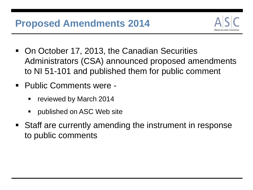

- On October 17, 2013, the Canadian Securities Administrators (CSA) announced proposed amendments to NI 51-101 and published them for public comment
- Public Comments were -
	- **•** reviewed by March 2014
	- **•** published on ASC Web site
- Staff are currently amending the instrument in response to public comments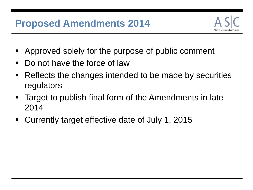

- Approved solely for the purpose of public comment
- Do not have the force of law
- Reflects the changes intended to be made by securities regulators
- **Target to publish final form of the Amendments in late** 2014
- Currently target effective date of July 1, 2015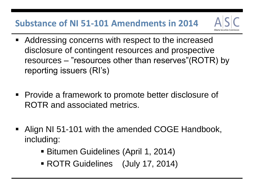#### **Substance of NI 51-101 Amendments in 2014**

- 
- **Addressing concerns with respect to the increased** disclosure of contingent resources and prospective resources – "resources other than reserves"(ROTR) by reporting issuers (RI's)
- **Provide a framework to promote better disclosure of** ROTR and associated metrics.
- Align NI 51-101 with the amended COGE Handbook, including:
	- Bitumen Guidelines (April 1, 2014)
	- ROTR Guidelines (July 17, 2014)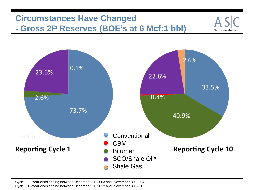#### **Circumstances Have Changed - Gross 2P Reserves (BOE's at 6 Mcf:1 bbl)**





Cycle 1 - Year ends ending between December 31, 2003 and November 30, 2004 Cycle 10 -Year ends ending between December 31, 2012 and November 30, 2013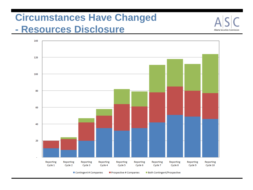# **Circumstances Have Changed - Resources Disclosure**

140 120 100 80 60 40 20 Reporting Reporting Reporting Reporting Reporting Reporting Reporting Reporting Reporting Reporting Cycle 1 Cycle 2 Cycle 3 Cycle 4 Cycle 5 Cycle 6 Cycle 7 Cycle 8 Cycle 9 Cycle 10 Contingent # Companies Prospective # Companies **Both Contingent/Prospective** 

Alberta Securities Commission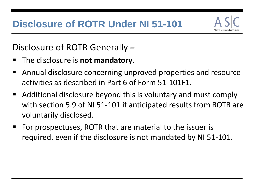

Disclosure of ROTR Generally *–*

- The disclosure is **not mandatory**.
- Annual disclosure concerning unproved properties and resource activities as described in Part 6 of Form 51-101F1.
- Additional disclosure beyond this is voluntary and must comply with section 5.9 of NI 51-101 if anticipated results from ROTR are voluntarily disclosed.
- For prospectuses, ROTR that are material to the issuer is required, even if the disclosure is not mandated by NI 51-101.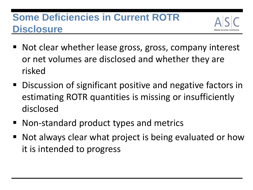# **Some Deficiencies in Current ROTR Disclosure**



- Not clear whether lease gross, gross, company interest or net volumes are disclosed and whether they are risked
- Discussion of significant positive and negative factors in estimating ROTR quantities is missing or insufficiently disclosed
- Non-standard product types and metrics
- Not always clear what project is being evaluated or how it is intended to progress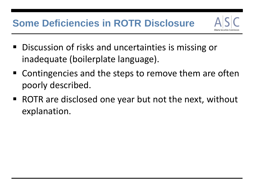- Discussion of risks and uncertainties is missing or inadequate (boilerplate language).
- Contingencies and the steps to remove them are often poorly described.
- ROTR are disclosed one year but not the next, without explanation.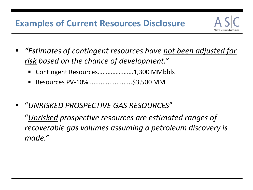#### **Examples of Current Resources Disclosure**

- *"Estimates of contingent resources have not been adjusted for risk based on the chance of development."*
	- Contingent Resources………………….1,300 MMbbls
	- Resources PV-10%............................\$3,500 MM
- "*UNRISKED PROSPECTIVE GAS RESOURCES*"

"*Unrisked prospective resources are estimated ranges of recoverable gas volumes assuming a petroleum discovery is made."*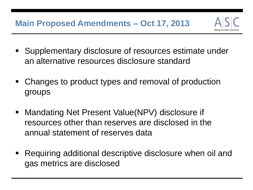- Supplementary disclosure of resources estimate under an alternative resources disclosure standard
- Changes to product types and removal of production groups
- Mandating Net Present Value(NPV) disclosure if resources other than reserves are disclosed in the annual statement of reserves data
- Requiring additional descriptive disclosure when oil and gas metrics are disclosed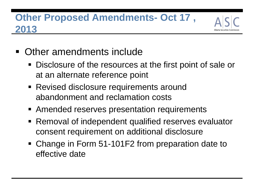# **Other Proposed Amendments- Oct 17 , 2013**

- Other amendments include
	- Disclosure of the resources at the first point of sale or at an alternate reference point
	- Revised disclosure requirements around abandonment and reclamation costs
	- Amended reserves presentation requirements
	- Removal of independent qualified reserves evaluator consent requirement on additional disclosure
	- Change in Form 51-101F2 from preparation date to effective date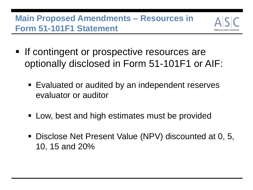- **If contingent or prospective resources are** optionally disclosed in Form 51-101F1 or AIF:
	- Evaluated or audited by an independent reserves evaluator or auditor
	- **Low, best and high estimates must be provided**
	- Disclose Net Present Value (NPV) discounted at 0, 5, 10, 15 and 20%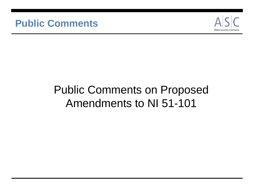



# Public Comments on Proposed Amendments to NI 51-101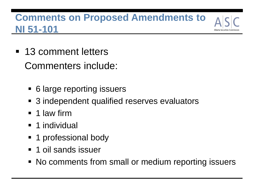## **Comments on Proposed Amendments to NI 51-101**

- **13 comment letters** Commenters include:
	- 6 large reporting issuers
	- 3 independent qualified reserves evaluators
	- $\blacksquare$  1 law firm
	- **1** individual
	- **1** professional body
	- **1** oil sands issuer
	- No comments from small or medium reporting issuers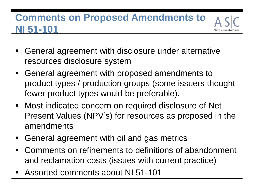# **Comments on Proposed Amendments to NI 51-101**

- General agreement with disclosure under alternative resources disclosure system
- General agreement with proposed amendments to product types / production groups (some issuers thought fewer product types would be preferable).
- Most indicated concern on required disclosure of Net Present Values (NPV's) for resources as proposed in the amendments
- General agreement with oil and gas metrics
- Comments on refinements to definitions of abandonment and reclamation costs (issues with current practice)
- Assorted comments about NI 51-101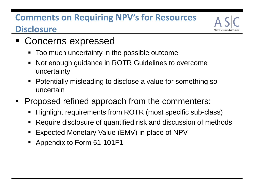#### **Comments on Requiring NPV's for Resources Disclosure**

#### **Concerns expressed**

- Too much uncertainty in the possible outcome
- Not enough guidance in ROTR Guidelines to overcome uncertainty
- Potentially misleading to disclose a value for something so uncertain
- **Proposed refined approach from the commenters:** 
	- Highlight requirements from ROTR (most specific sub-class)
	- Require disclosure of quantified risk and discussion of methods
	- Expected Monetary Value (EMV) in place of NPV
	- Appendix to Form 51-101F1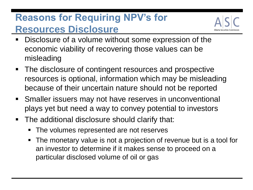# **Reasons for Requiring NPV's for Resources Disclosure**



- Disclosure of a volume without some expression of the economic viability of recovering those values can be misleading
- **The disclosure of contingent resources and prospective** resources is optional, information which may be misleading because of their uncertain nature should not be reported
- **Smaller issuers may not have reserves in unconventional** plays yet but need a way to convey potential to investors
- The additional disclosure should clarify that:
	- The volumes represented are not reserves
	- The monetary value is not a projection of revenue but is a tool for an investor to determine if it makes sense to proceed on a particular disclosed volume of oil or gas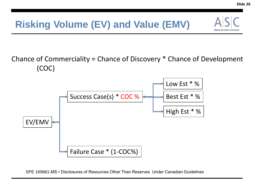Alberta Securities Commi

Chance of Commerciality = Chance of Discovery \* Chance of Development (COC)



SPE 169861-MS • Disclosures of Resources Other Than Reserves Under Canadian Guidelines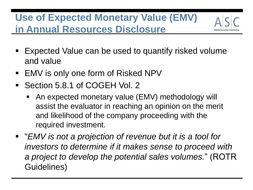# **Use of Expected Monetary Value (EMV) in Annual Resources Disclosure**



- Expected Value can be used to quantify risked volume and value
- EMV is only one form of Risked NPV
- Section 5.8.1 of COGEH Vol. 2
	- An expected monetary value (EMV) methodology will assist the evaluator in reaching an opinion on the merit and likelihood of the company proceeding with the required investment.
- "*EMV is not a projection of revenue but it is a tool for investors to determine if it makes sense to proceed with a project to develop the potential sales volumes.*" (ROTR Guidelines)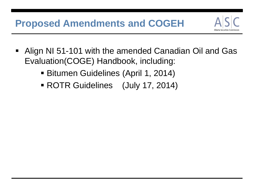#### **Proposed Amendments and COGEH**

 Align NI 51-101 with the amended Canadian Oil and Gas Evaluation(COGE) Handbook, including:

erta Securities Comm

- Bitumen Guidelines (April 1, 2014)
- ROTR Guidelines (July 17, 2014)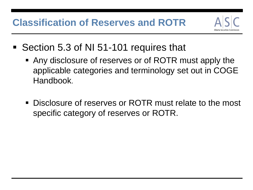- Section 5.3 of NI 51-101 requires that
	- Any disclosure of reserves or of ROTR must apply the applicable categories and terminology set out in COGE Handbook.
	- **Disclosure of reserves or ROTR must relate to the most** specific category of reserves or ROTR.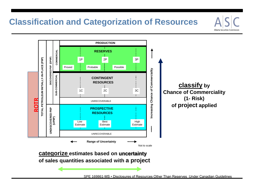#### **Classification and Categorization of Resources**



Alberta Securities Commissior

**categorize estimates based on uncertainty of sales quantities associated with a project**

**TOTAL PETROLEUM INITIALLY-IN-PLACE (PIIP)**

**ROTR**<br>TOTAL PETROLEUM INITIALLY-IN-PLACE (PIIP)

**DISCOVERED PIIP (DPIIP)**

**SCOVERED PIIP** 

**COMMERCIAL**

COMMERCIAL (OPIP)

**SUB-COMMERCIAL**

SUB-COMMERCIAL

**UNDISCOVERED PIIP**  UNDISCOVERED PIIP<br>(UPIIP)

**Range of Uncertainty**

Not to scale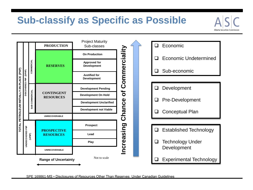#### **Sub-classify as Specific as Possible**

Project Maturity **Q** Economic **PRODUCTION** Sub-classes **Increasing Chance of Commerciality**Commerciality **On Production** □ Economic Undetermined **Approved for RESERVES Development** Sub-economic **Increasing Chance of Commerciality Justified for Development** Development  **Development Pending** SUB-COMMERCIAL  $\overline{\sigma}$ **CONTINGENT Development On Hold RESOURCES Q** Pre-Development Chance  **Development Unclarified Development not Viable** □ Conceptual Plan **UNRECOVERABLE** ncreasing **Prospect** □ Established Technology **PROSPECTIVE RESOURCES Lead**  $\Box$  Technology Under **Play** Development **UNRECOVERABLE** Not to scale Experimental Technology **Range of Uncertainty**

Alberta Securities Commissio

SPE 169861-MS • Disclosures of Resources Other Than Reserves Under Canadian Guidelines

**TOTAL PETROLEUM INITIALLY-IN-PLACE (PIIP)**

**LOLAT bELBOTENN IMILINTLY-IN-bTVCE (bilb)** 

**DISCOVERED PIIP (DPIIP)**

DISCOVERED PIIP (DPIIP)

**COMMERCIAL**

**SUB-COMMERCIAL** 

**UNDISCOVERED PIIP (UPIIP)**

**JNDISCOVERED PIIP**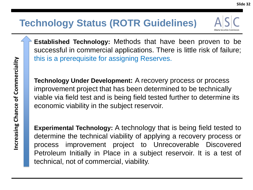## **Technology Status (ROTR Guidelines)**

**Established Technology:** Methods that have been proven to be successful in commercial applications. There is little risk of failure; this is a prerequisite for assigning Reserves.

**Technology Under Development:** A recovery process or process improvement project that has been determined to be technically viable via field test and is being field tested further to determine its economic viability in the subject reservoir.

**Experimental Technology:** A technology that is being field tested to determine the technical viability of applying a recovery process or process improvement project to Unrecoverable Discovered Petroleum Initially in Place in a subject reservoir. It is a test of technical, not of commercial, viability.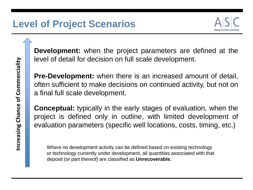

**Development:** when the project parameters are defined at the level of detail for decision on full scale development.

**Pre-Development:** when there is an increased amount of detail, often sufficient to make decisions on continued activity, but not on a final full scale development.

**Conceptual:** typically in the early stages of evaluation, when the project is defined only in outline, with limited development of evaluation parameters (specific well locations, costs, timing, etc.)

Where no development activity can be defined based on existing technology or technology currently under development, all quantities associated with that deposit (or part thereof) are classified as **Unrecoverable.**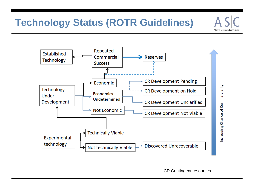# **Technology Status (ROTR Guidelines)**



**Alberta Securities Commission** 

CR Contingent resources